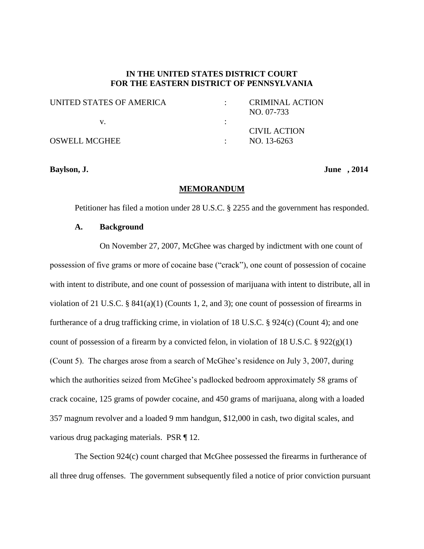## **IN THE UNITED STATES DISTRICT COURT FOR THE EASTERN DISTRICT OF PENNSYLVANIA**

| UNITED STATES OF AMERICA | <b>CRIMINAL ACTION</b><br>NO. 07-733 |
|--------------------------|--------------------------------------|
|                          |                                      |
|                          | CIVIL ACTION                         |
| <b>OSWELL MCGHEE</b>     | NO. 13-6263                          |

**Baylson, J. June , 2014**

#### **MEMORANDUM**

Petitioner has filed a motion under 28 U.S.C. § 2255 and the government has responded.

### **A. Background**

On November 27, 2007, McGhee was charged by indictment with one count of possession of five grams or more of cocaine base ("crack"), one count of possession of cocaine with intent to distribute, and one count of possession of marijuana with intent to distribute, all in violation of 21 U.S.C. §  $841(a)(1)$  (Counts 1, 2, and 3); one count of possession of firearms in furtherance of a drug trafficking crime, in violation of 18 U.S.C. § 924(c) (Count 4); and one count of possession of a firearm by a convicted felon, in violation of 18 U.S.C.  $\S 922(g)(1)$ (Count 5). The charges arose from a search of McGhee's residence on July 3, 2007, during which the authorities seized from McGhee's padlocked bedroom approximately 58 grams of crack cocaine, 125 grams of powder cocaine, and 450 grams of marijuana, along with a loaded 357 magnum revolver and a loaded 9 mm handgun, \$12,000 in cash, two digital scales, and various drug packaging materials. PSR ¶ 12.

The Section 924(c) count charged that McGhee possessed the firearms in furtherance of all three drug offenses. The government subsequently filed a notice of prior conviction pursuant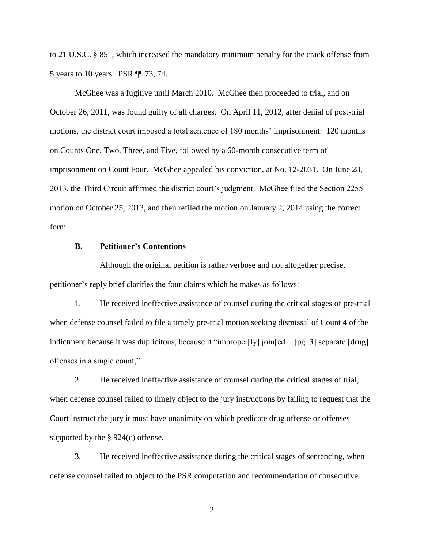to 21 U.S.C. § 851, which increased the mandatory minimum penalty for the crack offense from 5 years to 10 years. PSR ¶¶ 73, 74.

McGhee was a fugitive until March 2010. McGhee then proceeded to trial, and on October 26, 2011, was found guilty of all charges. On April 11, 2012, after denial of post-trial motions, the district court imposed a total sentence of 180 months' imprisonment: 120 months on Counts One, Two, Three, and Five, followed by a 60-month consecutive term of imprisonment on Count Four. McGhee appealed his conviction, at No. 12-2031. On June 28, 2013, the Third Circuit affirmed the district court's judgment. McGhee filed the Section 2255 motion on October 25, 2013, and then refiled the motion on January 2, 2014 using the correct form.

## **B. Petitioner's Contentions**

Although the original petition is rather verbose and not altogether precise, petitioner's reply brief clarifies the four claims which he makes as follows:

1. He received ineffective assistance of counsel during the critical stages of pre-trial when defense counsel failed to file a timely pre-trial motion seeking dismissal of Count 4 of the indictment because it was duplicitous, because it "improper[ly] join[ed].. [pg. 3] separate [drug] offenses in a single count,"

2. He received ineffective assistance of counsel during the critical stages of trial, when defense counsel failed to timely object to the jury instructions by failing to request that the Court instruct the jury it must have unanimity on which predicate drug offense or offenses supported by the § 924(c) offense.

3. He received ineffective assistance during the critical stages of sentencing, when defense counsel failed to object to the PSR computation and recommendation of consecutive

2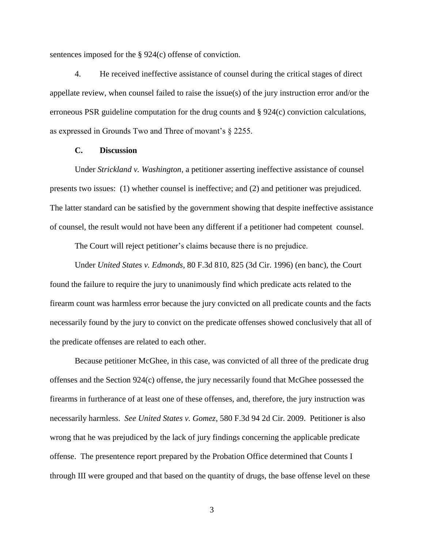sentences imposed for the § 924(c) offense of conviction.

4. He received ineffective assistance of counsel during the critical stages of direct appellate review, when counsel failed to raise the issue(s) of the jury instruction error and/or the erroneous PSR guideline computation for the drug counts and § 924(c) conviction calculations, as expressed in Grounds Two and Three of movant's § 2255.

## **C. Discussion**

Under *Strickland v. Washington*, a petitioner asserting ineffective assistance of counsel presents two issues: (1) whether counsel is ineffective; and (2) and petitioner was prejudiced. The latter standard can be satisfied by the government showing that despite ineffective assistance of counsel, the result would not have been any different if a petitioner had competent counsel.

The Court will reject petitioner's claims because there is no prejudice.

Under *United States v. Edmonds*, 80 F.3d 810, 825 (3d Cir. 1996) (en banc), the Court found the failure to require the jury to unanimously find which predicate acts related to the firearm count was harmless error because the jury convicted on all predicate counts and the facts necessarily found by the jury to convict on the predicate offenses showed conclusively that all of the predicate offenses are related to each other.

Because petitioner McGhee, in this case, was convicted of all three of the predicate drug offenses and the Section 924(c) offense, the jury necessarily found that McGhee possessed the firearms in furtherance of at least one of these offenses, and, therefore, the jury instruction was necessarily harmless. *See United States v. Gomez*, 580 F.3d 94 2d Cir. 2009. Petitioner is also wrong that he was prejudiced by the lack of jury findings concerning the applicable predicate offense. The presentence report prepared by the Probation Office determined that Counts I through III were grouped and that based on the quantity of drugs, the base offense level on these

3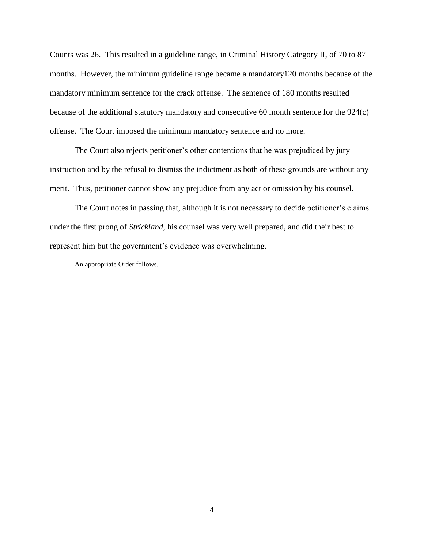Counts was 26. This resulted in a guideline range, in Criminal History Category II, of 70 to 87 months. However, the minimum guideline range became a mandatory120 months because of the mandatory minimum sentence for the crack offense. The sentence of 180 months resulted because of the additional statutory mandatory and consecutive 60 month sentence for the 924(c) offense. The Court imposed the minimum mandatory sentence and no more.

The Court also rejects petitioner's other contentions that he was prejudiced by jury instruction and by the refusal to dismiss the indictment as both of these grounds are without any merit. Thus, petitioner cannot show any prejudice from any act or omission by his counsel.

The Court notes in passing that, although it is not necessary to decide petitioner's claims under the first prong of *Strickland*, his counsel was very well prepared, and did their best to represent him but the government's evidence was overwhelming.

An appropriate Order follows.